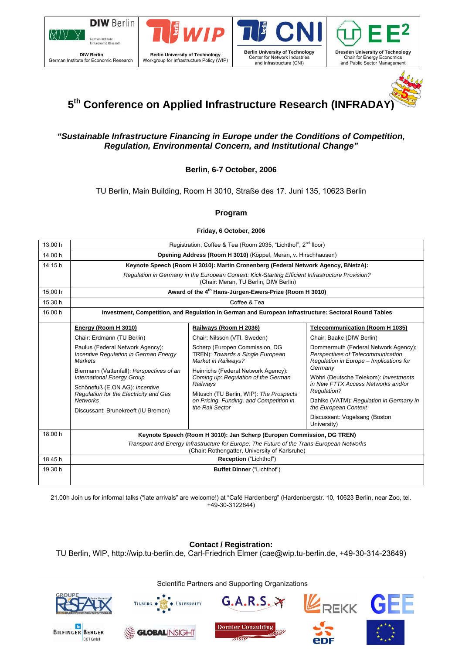







**5**

# **5th Conference on Applied Infrastructure Research (INFRADAY)**

### *"Sustainable Infrastructure Financing in Europe under the Conditions of Competition, Regulation, Environmental Concern, and Institutional Change"*

### **Berlin, 6-7 October, 2006**

### TU Berlin, Main Building, Room H 3010, Straße des 17. Juni 135, 10623 Berlin

### **Program**

**Friday, 6 October, 2006** 

| 13.00 h | Registration, Coffee & Tea (Room 2035, "Lichthof", 2 <sup>nd</sup> floor)                                                                                                                                            |                                                                                                                                                                                                 |                                                                                                                                                                                                                                 |  |  |  |  |
|---------|----------------------------------------------------------------------------------------------------------------------------------------------------------------------------------------------------------------------|-------------------------------------------------------------------------------------------------------------------------------------------------------------------------------------------------|---------------------------------------------------------------------------------------------------------------------------------------------------------------------------------------------------------------------------------|--|--|--|--|
| 14.00 h | Opening Address (Room H 3010) (Köppel, Meran, v. Hirschhausen)                                                                                                                                                       |                                                                                                                                                                                                 |                                                                                                                                                                                                                                 |  |  |  |  |
| 14.15 h | Keynote Speech (Room H 3010): Martin Cronenberg (Federal Network Agency, BNetzA):                                                                                                                                    |                                                                                                                                                                                                 |                                                                                                                                                                                                                                 |  |  |  |  |
|         | Requlation in Germany in the European Context: Kick-Starting Efficient Infrastructure Provision?<br>(Chair: Meran, TU Berlin, DIW Berlin)                                                                            |                                                                                                                                                                                                 |                                                                                                                                                                                                                                 |  |  |  |  |
| 15.00 h | Award of the 4 <sup>th</sup> Hans-Jürgen-Ewers-Prize (Room H 3010)                                                                                                                                                   |                                                                                                                                                                                                 |                                                                                                                                                                                                                                 |  |  |  |  |
| 15.30 h | Coffee & Tea                                                                                                                                                                                                         |                                                                                                                                                                                                 |                                                                                                                                                                                                                                 |  |  |  |  |
| 16.00 h | Investment, Competition, and Regulation in German and European Infrastructure: Sectoral Round Tables                                                                                                                 |                                                                                                                                                                                                 |                                                                                                                                                                                                                                 |  |  |  |  |
|         | Energy (Room H 3010)                                                                                                                                                                                                 | Railways (Room H 2036)                                                                                                                                                                          | <b>Telecommunication (Room H 1035)</b>                                                                                                                                                                                          |  |  |  |  |
|         | Chair: Erdmann (TU Berlin)                                                                                                                                                                                           | Chair: Nilsson (VTI, Sweden)                                                                                                                                                                    | Chair: Baake (DIW Berlin)                                                                                                                                                                                                       |  |  |  |  |
|         | Paulus (Federal Network Agency):<br>Incentive Regulation in German Energy<br><b>Markets</b>                                                                                                                          | Scherp (Europen Commission, DG<br>TREN): Towards a Single European<br>Market in Railways?                                                                                                       | Dommermuth (Federal Network Agency):<br>Perspectives of Telecommunication<br>Regulation in Europe - Implications for                                                                                                            |  |  |  |  |
|         | Biermann (Vattenfall): Perspectives of an<br><b>International Energy Group</b><br>Schönefuß (E.ON AG): Incentive<br>Regulation for the Electricity and Gas<br><b>Networks</b><br>Discussant: Brunekreeft (IU Bremen) | Heinrichs (Federal Network Agency):<br>Coming up: Regulation of the German<br>Railwavs<br>Mitusch (TU Berlin, WIP): The Prospects<br>on Pricing, Funding, and Competition in<br>the Rail Sector | Germany<br>Wöhrl (Deutsche Telekom): Investments<br>in New FTTX Access Networks and/or<br><b>Regulation?</b><br>Dahlke (VATM): Regulation in Germany in<br>the European Context<br>Discussant: Vogelsang (Boston<br>University) |  |  |  |  |
| 18.00 h | Keynote Speech (Room H 3010): Jan Scherp (Europen Commission, DG TREN)                                                                                                                                               |                                                                                                                                                                                                 |                                                                                                                                                                                                                                 |  |  |  |  |
|         | Transport and Energy Infrastructure for Europe: The Future of the Trans-European Networks<br>(Chair: Rothengatter, University of Karlsruhe)                                                                          |                                                                                                                                                                                                 |                                                                                                                                                                                                                                 |  |  |  |  |
| 18.45 h | Reception ("Lichthof")                                                                                                                                                                                               |                                                                                                                                                                                                 |                                                                                                                                                                                                                                 |  |  |  |  |
| 19.30 h | Buffet Dinner ("Lichthof")                                                                                                                                                                                           |                                                                                                                                                                                                 |                                                                                                                                                                                                                                 |  |  |  |  |

21.00h Join us for informal talks ("late arrivals" are welcome!) at "Café Hardenberg" (Hardenbergstr. 10, 10623 Berlin, near Zoo, tel. +49-30-3122644)

#### **Contact / Registration:**

TU Berlin, WIP, http://wip.tu-berlin.de, Carl-Friedrich Elmer (cae@wip.tu-berlin.de, +49-30-314-23649)

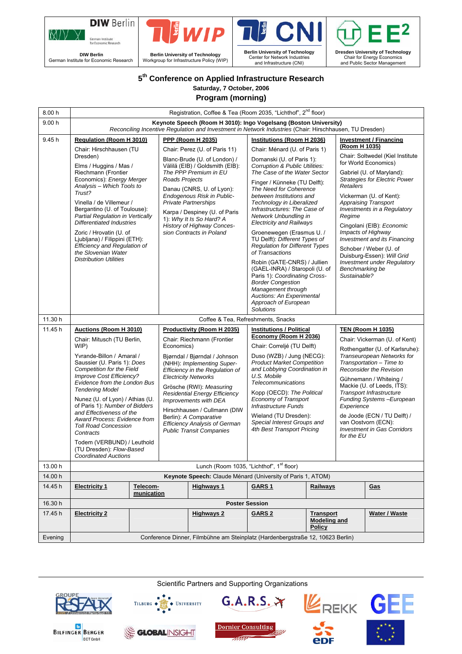



**DIW Berlin**  German Institute for Economic Research





Center for Network Industries and Infrastructure (CNI)

**Dresden University of Technology**  Chair for Energy Economics and Public Sector Management

-2

# **5th Conference on Applied Infrastructure Research**

**Saturday, 7 October, 2006 Program (morning)** 

| 8.00 h  | Registration, Coffee & Tea (Room 2035, "Lichthof", 2 <sup>nd</sup> floor)                                                                                                                                                           |                        |                                                                                                                                                                                                                                |                                                             |                                                                                                                                                                                                      |                                                          |                                                                                                                                                                                                                     |                                      |
|---------|-------------------------------------------------------------------------------------------------------------------------------------------------------------------------------------------------------------------------------------|------------------------|--------------------------------------------------------------------------------------------------------------------------------------------------------------------------------------------------------------------------------|-------------------------------------------------------------|------------------------------------------------------------------------------------------------------------------------------------------------------------------------------------------------------|----------------------------------------------------------|---------------------------------------------------------------------------------------------------------------------------------------------------------------------------------------------------------------------|--------------------------------------|
| 9.00h   | Keynote Speech (Room H 3010): Ingo Vogelsang (Boston University)<br>Reconciling Incentive Regulation and Investment in Network Industries (Chair: Hirschhausen, TU Dresden)                                                         |                        |                                                                                                                                                                                                                                |                                                             |                                                                                                                                                                                                      |                                                          |                                                                                                                                                                                                                     |                                      |
| 9.45 h  | <b>Regulation (Room H 3010)</b>                                                                                                                                                                                                     |                        |                                                                                                                                                                                                                                | <b>PPP (Room H 2035)</b>                                    | Institutions (Room H 2036)                                                                                                                                                                           |                                                          |                                                                                                                                                                                                                     | <b>Investment / Financing</b>        |
|         | Chair: Hirschhausen (TU                                                                                                                                                                                                             |                        |                                                                                                                                                                                                                                | Chair: Perez (U. of Paris 11)                               | Chair: Ménard (U. of Paris 1)                                                                                                                                                                        |                                                          | (Room H 1035)                                                                                                                                                                                                       |                                      |
|         | Dresden)                                                                                                                                                                                                                            |                        | Blanc-Brude (U. of London) /                                                                                                                                                                                                   | Domanski (U. of Paris 1):<br>Corruption & Public Utilities: |                                                                                                                                                                                                      | Chair: Soltwedel (Kiel Institute<br>for World Economics) |                                                                                                                                                                                                                     |                                      |
|         | Elms / Huggins / Mas /<br>Riechmann (Frontier                                                                                                                                                                                       |                        |                                                                                                                                                                                                                                | Välilä (EIB) / Goldsmith (EIB):<br>The PPP Premium in EU    | The Case of the Water Sector                                                                                                                                                                         |                                                          | Gabriel (U. of Maryland):                                                                                                                                                                                           |                                      |
|         | Economics): Energy Merger<br>Analysis - Which Tools to<br>Trust?                                                                                                                                                                    |                        | Roads Projects<br>Danau (CNRS, U. of Lyon):<br>Endogenous Risk in Public-                                                                                                                                                      |                                                             | Finger / Künneke (TU Delft):                                                                                                                                                                         |                                                          | Retailers                                                                                                                                                                                                           | <b>Strategies for Electric Power</b> |
|         |                                                                                                                                                                                                                                     |                        |                                                                                                                                                                                                                                |                                                             | The Need for Coherence<br>between Institutions and                                                                                                                                                   |                                                          |                                                                                                                                                                                                                     | Vickerman (U. of Kent):              |
|         | Vinella / de Villemeur /                                                                                                                                                                                                            |                        | <b>Private Partnerships</b>                                                                                                                                                                                                    | Technology in Liberalized<br>Infrastructures: The Case of   |                                                                                                                                                                                                      |                                                          | <b>Appraising Transport</b><br>Investments in a Regulatory                                                                                                                                                          |                                      |
|         | Bergantino (U. of Toulouse):<br>Partial Regulation in Vertically                                                                                                                                                                    |                        | Karpa / Despiney (U. of Paris<br>1): Why It Is So Hard? A                                                                                                                                                                      | Network Unbundling in                                       |                                                                                                                                                                                                      | Regime                                                   |                                                                                                                                                                                                                     |                                      |
|         | <b>Differentiated Industries</b>                                                                                                                                                                                                    |                        |                                                                                                                                                                                                                                | History of Highway Conces-                                  | <b>Electricity and Railways</b>                                                                                                                                                                      |                                                          | Cingolani (EIB): Economic                                                                                                                                                                                           |                                      |
|         | Zoric / Hrovatin (U. of<br>Ljubljana) / Filippini (ETH):                                                                                                                                                                            |                        | sion Contracts in Poland                                                                                                                                                                                                       |                                                             | Groenewegen (Erasmus U. /<br>TU Delft): Different Types of                                                                                                                                           |                                                          | Impacts of Highway<br><b>Investment and its Financing</b>                                                                                                                                                           |                                      |
|         | <b>Efficiency and Regulation of</b><br>the Slovenian Water                                                                                                                                                                          |                        |                                                                                                                                                                                                                                |                                                             | <b>Regulation for Different Types</b><br>of Transactions                                                                                                                                             |                                                          | Schober / Weber (U. of                                                                                                                                                                                              |                                      |
|         | <b>Distribution Utilities</b>                                                                                                                                                                                                       |                        |                                                                                                                                                                                                                                |                                                             | Robin (GATE-CNRS) / Jullien                                                                                                                                                                          |                                                          | Duisburg-Essen): Will Grid<br><b>Investment under Requlatory</b>                                                                                                                                                    |                                      |
|         |                                                                                                                                                                                                                                     |                        |                                                                                                                                                                                                                                |                                                             | (GAEL-INRA) / Staropoli (U. of<br>Paris 1): Coordinating Cross-                                                                                                                                      |                                                          | Benchmarking be<br>Sustainable?                                                                                                                                                                                     |                                      |
|         |                                                                                                                                                                                                                                     |                        |                                                                                                                                                                                                                                | <b>Border Congestion</b>                                    |                                                                                                                                                                                                      |                                                          |                                                                                                                                                                                                                     |                                      |
|         |                                                                                                                                                                                                                                     |                        |                                                                                                                                                                                                                                |                                                             | Management through<br>Auctions: An Experimental                                                                                                                                                      |                                                          |                                                                                                                                                                                                                     |                                      |
|         |                                                                                                                                                                                                                                     |                        |                                                                                                                                                                                                                                |                                                             | Approach of European<br><b>Solutions</b>                                                                                                                                                             |                                                          |                                                                                                                                                                                                                     |                                      |
| 11.30 h |                                                                                                                                                                                                                                     |                        |                                                                                                                                                                                                                                |                                                             | Coffee & Tea, Refreshments, Snacks                                                                                                                                                                   |                                                          |                                                                                                                                                                                                                     |                                      |
| 11.45 h | <b>Auctions (Room H 3010)</b>                                                                                                                                                                                                       |                        |                                                                                                                                                                                                                                | Productivity (Room H 2035)                                  | <b>Institutions / Political</b>                                                                                                                                                                      |                                                          |                                                                                                                                                                                                                     | <b>TEN (Room H 1035)</b>             |
|         | Chair: Mitusch (TU Berlin,                                                                                                                                                                                                          |                        | Chair: Riechmann (Frontier                                                                                                                                                                                                     |                                                             | Economy (Room H 2036)                                                                                                                                                                                |                                                          | Chair: Vickerman (U. of Kent)                                                                                                                                                                                       |                                      |
|         | WIP)<br>Yvrande-Billon / Amaral /<br>Saussier (U. Paris 1): Does                                                                                                                                                                    |                        | Economics)<br>Bjørndal / Bjørndal / Johnson<br>(NHH): Implementing Super-                                                                                                                                                      |                                                             | Chair: Correljé (TU Delft)<br>Duso (WZB) / Jung (NECG):<br><b>Product Market Competition</b>                                                                                                         |                                                          | Rothengatter (U. of Karlsruhe):<br>Transeuropean Networks for<br>Transportation - Time to                                                                                                                           |                                      |
|         |                                                                                                                                                                                                                                     |                        |                                                                                                                                                                                                                                |                                                             |                                                                                                                                                                                                      |                                                          |                                                                                                                                                                                                                     |                                      |
|         | <b>Competition for the Field</b><br>Improve Cost Efficiency?                                                                                                                                                                        |                        | Efficiency in the Regulation of<br><b>Electricity Networks</b>                                                                                                                                                                 |                                                             | and Lobbying Coordination in<br>U.S. Mobile                                                                                                                                                          |                                                          | <b>Reconsider the Revision</b><br>Gühnemann / Whiteing /                                                                                                                                                            |                                      |
|         | Evidence from the London Bus<br><b>Tendering Model</b><br>Nunez (U. of Lyon) / Athias (U.<br>of Paris 1): Number of Bidders<br>and Effectiveness of the<br>Award Process: Evidence from<br><b>Toll Road Concession</b><br>Contracts |                        | Grösche (RWI): Measuring<br><b>Residential Energy Efficiency</b><br>Improvements with DEA<br>Hirschhausen / Cullmann (DIW<br>Berlin): A Comparative<br><b>Efficiency Analysis of German</b><br><b>Public Transit Companies</b> |                                                             | Telecommunications<br>Kopp (OECD): The Political<br><b>Economy of Transport</b><br><b>Infrastructure Funds</b><br>Wieland (TU Dresden):<br>Special Interest Groups and<br>4th Best Transport Pricing |                                                          | Mackie (U. of Leeds, ITS):<br><b>Transport Infrastructure</b><br>Funding Systems - European<br>Experience<br>de Joode (ECN / TU Delft) /<br>van Oostvorn (ECN):<br><b>Investment in Gas Corridors</b><br>for the EU |                                      |
|         |                                                                                                                                                                                                                                     |                        |                                                                                                                                                                                                                                |                                                             |                                                                                                                                                                                                      |                                                          |                                                                                                                                                                                                                     |                                      |
|         |                                                                                                                                                                                                                                     |                        |                                                                                                                                                                                                                                |                                                             |                                                                                                                                                                                                      |                                                          |                                                                                                                                                                                                                     |                                      |
|         |                                                                                                                                                                                                                                     |                        |                                                                                                                                                                                                                                |                                                             |                                                                                                                                                                                                      |                                                          |                                                                                                                                                                                                                     |                                      |
|         |                                                                                                                                                                                                                                     |                        |                                                                                                                                                                                                                                |                                                             |                                                                                                                                                                                                      |                                                          |                                                                                                                                                                                                                     |                                      |
|         | Todem (VERBUND) / Leuthold                                                                                                                                                                                                          |                        |                                                                                                                                                                                                                                |                                                             |                                                                                                                                                                                                      |                                                          |                                                                                                                                                                                                                     |                                      |
|         | (TU Dresden): Flow-Based<br><b>Coordinated Auctions</b>                                                                                                                                                                             |                        |                                                                                                                                                                                                                                |                                                             |                                                                                                                                                                                                      |                                                          |                                                                                                                                                                                                                     |                                      |
| 13.00 h | Lunch (Room 1035, "Lichthof", 1 <sup>st</sup> floor)                                                                                                                                                                                |                        |                                                                                                                                                                                                                                |                                                             |                                                                                                                                                                                                      |                                                          |                                                                                                                                                                                                                     |                                      |
| 14.00 h | Keynote Speech: Claude Ménard (University of Paris 1, ATOM)                                                                                                                                                                         |                        |                                                                                                                                                                                                                                |                                                             |                                                                                                                                                                                                      |                                                          |                                                                                                                                                                                                                     |                                      |
| 14.45 h | <b>Electricity 1</b>                                                                                                                                                                                                                | Telecom-<br>munication |                                                                                                                                                                                                                                | <b>Highways 1</b>                                           | GARS <sub>1</sub>                                                                                                                                                                                    | Railways                                                 |                                                                                                                                                                                                                     | <u>Gas</u>                           |
| 16.30 h | <b>Poster Session</b>                                                                                                                                                                                                               |                        |                                                                                                                                                                                                                                |                                                             |                                                                                                                                                                                                      |                                                          |                                                                                                                                                                                                                     |                                      |
| 17.45 h | <b>Electricity 2</b>                                                                                                                                                                                                                |                        |                                                                                                                                                                                                                                | <b>Highways 2</b>                                           | <b>GARS 2</b>                                                                                                                                                                                        | <b>Transport</b><br><b>Modeling and</b>                  |                                                                                                                                                                                                                     | Water / Waste                        |
|         |                                                                                                                                                                                                                                     |                        |                                                                                                                                                                                                                                |                                                             |                                                                                                                                                                                                      | <b>Policy</b>                                            |                                                                                                                                                                                                                     |                                      |
| Evening | Conference Dinner, Filmbühne am Steinplatz (Hardenbergstraße 12, 10623 Berlin)                                                                                                                                                      |                        |                                                                                                                                                                                                                                |                                                             |                                                                                                                                                                                                      |                                                          |                                                                                                                                                                                                                     |                                      |

Scientific Partners and Supporting Organizations



TILBURG  $\leftrightarrow$   $\overrightarrow{S}$   $\leftrightarrow$  UNIVERSITY





epF







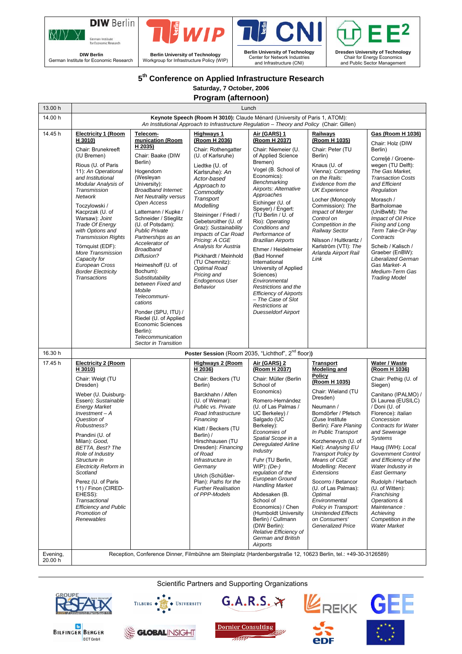



**DIW Berlin**  German Institute for Economic Research





Center for Network Industries and Infrastructure (CNI)



# **5th Conference on Applied Infrastructure Research**

**Saturday, 7 October, 2006 Program (afternoon)** 

| 13.00 h             | Lunch                                                                                                                                                                                                                                                                                                                                                                                                                                                                               |                                                                                                                                                                                                                                                                                                                                                                                                                                                                                                                                                                                                                           |                                                                                                                                                                                                                                                                                                                                                                                                                                                   |                                                                                                                                                                                                                                                                                                                                                                                                                                                                                                                                                                                     |                                                                                                                                                                                                                                                                                                                                                                                                                                                                                                           |                                                                                                                                                                                                                                                                                                                                                                                                                                                                                                      |  |  |
|---------------------|-------------------------------------------------------------------------------------------------------------------------------------------------------------------------------------------------------------------------------------------------------------------------------------------------------------------------------------------------------------------------------------------------------------------------------------------------------------------------------------|---------------------------------------------------------------------------------------------------------------------------------------------------------------------------------------------------------------------------------------------------------------------------------------------------------------------------------------------------------------------------------------------------------------------------------------------------------------------------------------------------------------------------------------------------------------------------------------------------------------------------|---------------------------------------------------------------------------------------------------------------------------------------------------------------------------------------------------------------------------------------------------------------------------------------------------------------------------------------------------------------------------------------------------------------------------------------------------|-------------------------------------------------------------------------------------------------------------------------------------------------------------------------------------------------------------------------------------------------------------------------------------------------------------------------------------------------------------------------------------------------------------------------------------------------------------------------------------------------------------------------------------------------------------------------------------|-----------------------------------------------------------------------------------------------------------------------------------------------------------------------------------------------------------------------------------------------------------------------------------------------------------------------------------------------------------------------------------------------------------------------------------------------------------------------------------------------------------|------------------------------------------------------------------------------------------------------------------------------------------------------------------------------------------------------------------------------------------------------------------------------------------------------------------------------------------------------------------------------------------------------------------------------------------------------------------------------------------------------|--|--|
| 14.00 h             | Keynote Speech (Room H 3010): Claude Ménard (University of Paris 1, ATOM):<br>An Institutional Approach to Infrastructure Regulation - Theory and Policy (Chair: Gillen)                                                                                                                                                                                                                                                                                                            |                                                                                                                                                                                                                                                                                                                                                                                                                                                                                                                                                                                                                           |                                                                                                                                                                                                                                                                                                                                                                                                                                                   |                                                                                                                                                                                                                                                                                                                                                                                                                                                                                                                                                                                     |                                                                                                                                                                                                                                                                                                                                                                                                                                                                                                           |                                                                                                                                                                                                                                                                                                                                                                                                                                                                                                      |  |  |
| 14.45 h             | <b>Electricity 1 (Room</b><br>H 3010)<br>Chair: Brunekreeft<br>(IU Bremen)<br>Rious (U. of Paris<br>11): An Operational<br>and Institutional<br>Modular Analysis of<br>Transmission<br>Network<br>Toczylowski /<br>Kacprzak (U. of<br>Warsaw): Joint<br>Trade Of Energy<br>with Options and<br><b>Transmission Rights</b><br>Törnquist (EDF):<br>More Transmission<br>Capacity for<br>European Cross<br><b>Border Electricity</b><br><b>Transactions</b>                            | Telecom-<br>munication (Room<br>H 2035)<br>Chair: Baake (DIW<br>Berlin)<br>Hogendorn<br>(Wesleyan<br>University):<br><b>Broadband Internet:</b><br><b>Net Neutrality versus</b><br>Open Access<br>Lattemann / Kupke /<br>Schneider / Stieglitz<br>(U. of Potsdam):<br><b>Public Private</b><br>Partnerships as an<br>Accelerator of<br><b>Broadband</b><br>Diffusion?<br>Heimeshoff (U. of<br>Bochum):<br>Substitutability<br>between Fixed and<br>Mobile<br>Telecommuni-<br>cations<br>Ponder (SPU, ITU) /<br>Riedel (U. of Applied<br><b>Economic Sciences</b><br>Berlin):<br>Telecommunication<br>Sector in Transition | Highways 1<br>(Room H 2036)<br>Chair: Rothengatter<br>(U. of Karlsruhe)<br>Liedtke (U. of<br>Karlsruhe): An<br>Actor-based<br>Approach to<br>Commodity<br>Transport<br>Modelling<br>Steininger / Friedl /<br>Gebetsroither (U. of<br>Graz): Sustainability<br>Impacts of Car Road<br>Pricing: A CGE<br>Analysis for Austria<br>Pickhardt / Meinhold<br>(TU Chemnitz):<br>Optimal Road<br>Pricing and<br><b>Endogenous User</b><br><b>Behavior</b> | Air (GARS) 1<br>(Room H 2037)<br>Chair: Niemeier (U.<br>of Applied Science<br>Bremen)<br>Vogel (B. School of<br>Economics):<br>Benchmarking<br>Airports: Alternative<br>Approaches<br>Eichinger (U. of<br>Speyer) / Engert:<br>(TU Berlin / U. of<br>Rio): Operating<br>Conditions and<br>Performance of<br><b>Brazilian Airports</b><br>Ehmer / Heidelmeier<br>(Bad Honnef<br>International<br>University of Applied<br>Sciences)<br>Environmental<br>Restrictions and the<br><b>Efficiency of Airports</b><br>- The Case of Slot<br>Restrictions at<br><b>Duesseldorf Airport</b> | Railways<br>(Room H 1035)<br>Chair: Peter (TU<br>Berlin)<br>Knaus (U. of<br>Vienna): Competing<br>on the Rails:<br>Evidence from the<br><b>UK Experience</b><br>Locher (Monopoly<br>Commission): The<br><b>Impact of Merger</b><br>Control on<br>Competition in the<br>Railway Sector<br>Nilsson / Hultkrantz /<br>Karlström (VTI): The<br>Arlanda Airport Rail<br>Link                                                                                                                                   | Gas (Room H 1036)<br>Chair: Holz (DIW<br>Berlin)<br>Correljé / Groene-<br>wegen (TU Delft):<br>The Gas Market,<br><b>Transaction Costs</b><br>and Efficient<br>Regulation<br>Morasch /<br>Bartholomae<br>(UniBwM): The<br>Impact of Oil Price<br>Fixing and Long<br>Term Take-Or-Pay<br>Contracts<br>Scheib / Kalisch /<br>Graeber (EnBW):<br>Liberalized German<br>Gas Market-A<br>Medium-Term Gas<br><b>Trading Model</b>                                                                          |  |  |
| 16.30 h             |                                                                                                                                                                                                                                                                                                                                                                                                                                                                                     |                                                                                                                                                                                                                                                                                                                                                                                                                                                                                                                                                                                                                           |                                                                                                                                                                                                                                                                                                                                                                                                                                                   | Poster Session (Room 2035, "Lichthof", 2 <sup>nd</sup> floor))                                                                                                                                                                                                                                                                                                                                                                                                                                                                                                                      |                                                                                                                                                                                                                                                                                                                                                                                                                                                                                                           |                                                                                                                                                                                                                                                                                                                                                                                                                                                                                                      |  |  |
| 17.45 h             | <b>Electricity 2 (Room</b><br>H 3010)<br>Chair: Weigt (TU<br>Dresden)<br>Weber (U. Duisburg-<br>Essen): Sustainable<br><b>Energy Market</b><br>$Investment - A$<br>Question of<br>Robustness?<br>Prandini (U. of<br>Milan): Good,<br><b>BETTA.</b> Best? The<br>Role of Industry<br>Structure in<br><b>Electricity Reform in</b><br>Scotland<br>Perez (U. of Paris<br>11) / Finon (CIRED-<br>EHESS):<br>Transactional<br><b>Efficiency and Public</b><br>Promotion of<br>Renewables |                                                                                                                                                                                                                                                                                                                                                                                                                                                                                                                                                                                                                           | <b>Highways 2 (Room</b><br>H 2036)<br>Chair: Beckers (TU<br>Berlin)<br>Barckhahn / Alfen<br>(U. of Weimar):<br>Public vs. Private<br>Road Infrastructure<br>Financing<br>Klatt / Beckers (TU<br>Berlin) /<br>Hirschhausen (TU<br>Dresden): Financing<br>of Road<br>Infrastructure in<br>Germany<br>Ulrich (Schüßler-<br>Plan): Paths for the<br><b>Further Realisation</b><br>of PPP-Models                                                       | Air (GARS) 2<br>(Room H 2037)<br>Chair: Müller (Berlin<br>School of<br>Economics)<br>Romero-Hernández<br>(U. of Las Palmas /<br>UC Berkeley) /<br>Salgado (UC<br>Berkeley):<br>Economies of<br>Spatial Scope in a<br><b>Deregulated Airline</b><br>Industry<br>Fuhr (TU Berlin,<br>$WIP$ : $(De-)$<br>regulation of the<br>European Ground<br><b>Handling Market</b><br>Abdesaken (B.<br>School of<br>Economics) / Chen<br>(Humboldt University<br>Berlin) / Cullmann<br>(DIW Berlin):<br>Relative Efficiency of<br>German and British<br>Airports                                  | <b>Transport</b><br>Modeling and<br>Policy<br>(Room H 1035)<br>Chair: Wieland (TU<br>Dresden)<br>Neumann /<br>Borndörfer / Pfetsch<br>(Zuse Institute)<br>Berlin): Fare Planing<br>In Public Transport<br>Korzhenevych (U. of<br>Kiel): Analysing EU<br>Transport Policy by<br>Means of CGE<br>Modelling: Recent<br>Extensions<br>Socorro / Betancor<br>(U. of Las Palmas):<br>Optimal<br>Environmental<br>Policy in Transport:<br><b>Unintended Effects</b><br>on Consumers'<br><b>Generalized Price</b> | Water / Waste<br>(Room H 1036)<br>Chair: Pethig (U. of<br>Siegen)<br>Canitano (IPALMO) /<br>Di Laurea (EUSILC)<br>/ Doni (U. of<br>Florence): Italian<br>Concession<br><b>Contracts for Water</b><br>and Sewerage<br><b>Systems</b><br>Haug (IWH): Local<br><b>Government Control</b><br>and Efficiency of the<br>Water Industry in<br>East Germany<br>Rudolph / Harbach<br>(U. of Witten):<br>Franchising<br>Operations &<br>Maintenance:<br>Achieving<br>Competition in the<br><b>Water Market</b> |  |  |
| Evening,<br>20.00 h | Reception, Conference Dinner, Filmbühne am Steinplatz (Hardenbergstraße 12, 10623 Berlin, tel.: +49-30-3126589)                                                                                                                                                                                                                                                                                                                                                                     |                                                                                                                                                                                                                                                                                                                                                                                                                                                                                                                                                                                                                           |                                                                                                                                                                                                                                                                                                                                                                                                                                                   |                                                                                                                                                                                                                                                                                                                                                                                                                                                                                                                                                                                     |                                                                                                                                                                                                                                                                                                                                                                                                                                                                                                           |                                                                                                                                                                                                                                                                                                                                                                                                                                                                                                      |  |  |

Scientific Partners and Supporting Organizations



**BILFINGER BERGER BOT GmbH** 





ata



eDF